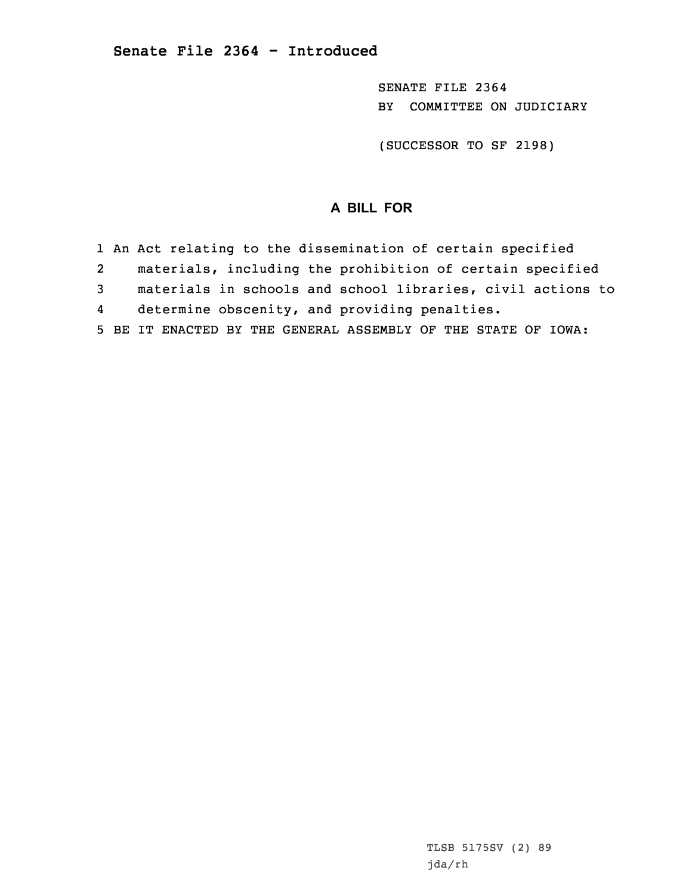SENATE FILE 2364 BY COMMITTEE ON JUDICIARY

(SUCCESSOR TO SF 2198)

## **A BILL FOR**

1 An Act relating to the dissemination of certain specified 2 materials, including the prohibition of certain specified 3 materials in schools and school libraries, civil actions to 4 determine obscenity, and providing penalties. 5 BE IT ENACTED BY THE GENERAL ASSEMBLY OF THE STATE OF IOWA: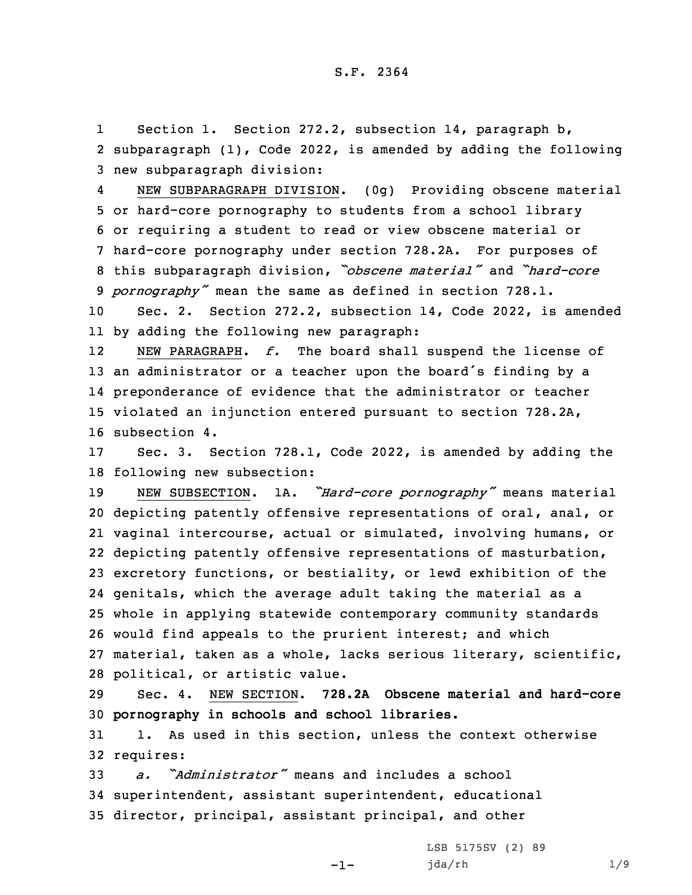1 Section 1. Section 272.2, subsection 14, paragraph b, 2 subparagraph (1), Code 2022, is amended by adding the following 3 new subparagraph division:

4 NEW SUBPARAGRAPH DIVISION. (0g) Providing obscene material or hard-core pornography to students from <sup>a</sup> school library or requiring <sup>a</sup> student to read or view obscene material or hard-core pornography under section 728.2A. For purposes of this subparagraph division, *"obscene material"* and *"hard-core pornography"* mean the same as defined in section 728.1.

10 Sec. 2. Section 272.2, subsection 14, Code 2022, is amended 11 by adding the following new paragraph:

12 NEW PARAGRAPH. *f.* The board shall suspend the license of an administrator or <sup>a</sup> teacher upon the board's finding by <sup>a</sup> preponderance of evidence that the administrator or teacher violated an injunction entered pursuant to section 728.2A, subsection 4.

17 Sec. 3. Section 728.1, Code 2022, is amended by adding the 18 following new subsection:

 NEW SUBSECTION. 1A. *"Hard-core pornography"* means material depicting patently offensive representations of oral, anal, or vaginal intercourse, actual or simulated, involving humans, or depicting patently offensive representations of masturbation, excretory functions, or bestiality, or lewd exhibition of the genitals, which the average adult taking the material as <sup>a</sup> whole in applying statewide contemporary community standards would find appeals to the prurient interest; and which material, taken as <sup>a</sup> whole, lacks serious literary, scientific, political, or artistic value.

29 Sec. 4. NEW SECTION. **728.2A Obscene material and hard-core** 30 **pornography in schools and school libraries.**

31 1. As used in this section, unless the context otherwise 32 requires:

-1-

33 *a. "Administrator"* means and includes <sup>a</sup> school 34 superintendent, assistant superintendent, educational 35 director, principal, assistant principal, and other

> LSB 5175SV (2) 89 jda/rh 1/9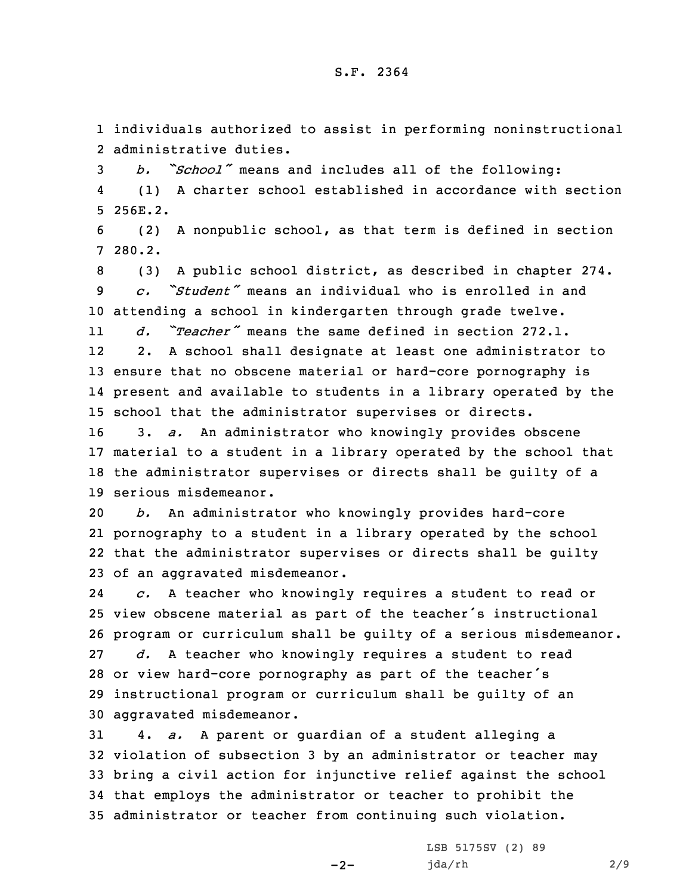1 individuals authorized to assist in performing noninstructional 2 administrative duties.

<sup>3</sup> *b. "School"* means and includes all of the following: 4 (1) <sup>A</sup> charter school established in accordance with section 5 256E.2.

6 (2) <sup>A</sup> nonpublic school, as that term is defined in section 7 280.2.

8 (3) <sup>A</sup> public school district, as described in chapter 274. 9 *c. "Student"* means an individual who is enrolled in and 10 attending <sup>a</sup> school in kindergarten through grade twelve.

11 *d. "Teacher"* means the same defined in section 272.1. 122. <sup>A</sup> school shall designate at least one administrator to

13 ensure that no obscene material or hard-core pornography is 14 present and available to students in <sup>a</sup> library operated by the 15 school that the administrator supervises or directs.

 3. *a.* An administrator who knowingly provides obscene material to <sup>a</sup> student in <sup>a</sup> library operated by the school that the administrator supervises or directs shall be guilty of <sup>a</sup> serious misdemeanor.

 *b.* An administrator who knowingly provides hard-core pornography to <sup>a</sup> student in <sup>a</sup> library operated by the school that the administrator supervises or directs shall be guilty of an aggravated misdemeanor.

24 *c.* <sup>A</sup> teacher who knowingly requires <sup>a</sup> student to read or view obscene material as part of the teacher's instructional program or curriculum shall be guilty of <sup>a</sup> serious misdemeanor. *d.* <sup>A</sup> teacher who knowingly requires <sup>a</sup> student to read or view hard-core pornography as part of the teacher's instructional program or curriculum shall be guilty of an aggravated misdemeanor.

 4. *a.* <sup>A</sup> parent or guardian of <sup>a</sup> student alleging <sup>a</sup> violation of subsection 3 by an administrator or teacher may bring <sup>a</sup> civil action for injunctive relief against the school that employs the administrator or teacher to prohibit the administrator or teacher from continuing such violation.

 $-2-$ 

LSB 5175SV (2) 89 jda/rh 2/9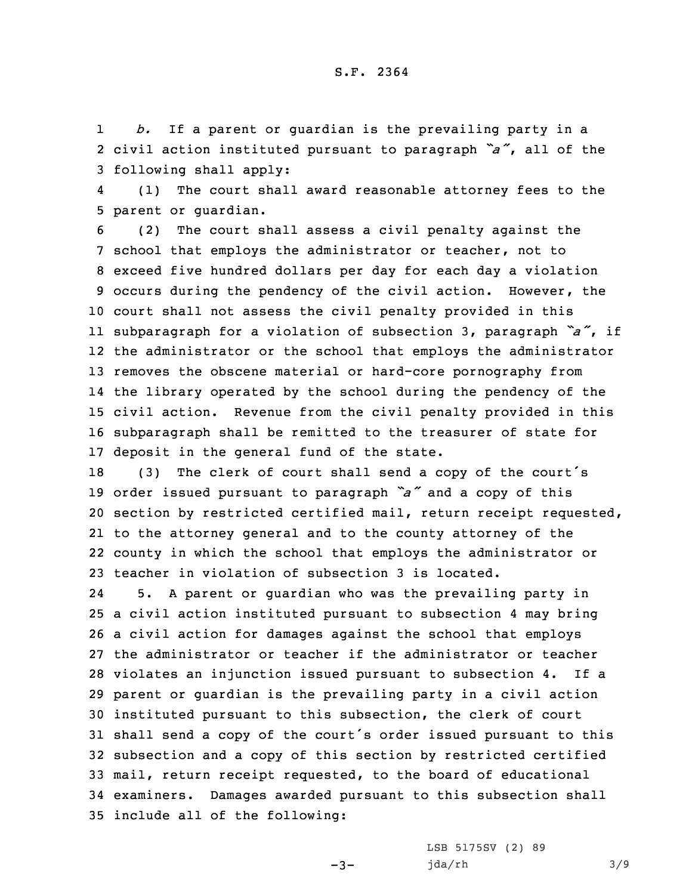1 *b.* If <sup>a</sup> parent or guardian is the prevailing party in <sup>a</sup> 2 civil action instituted pursuant to paragraph *"a"*, all of the 3 following shall apply:

4 (1) The court shall award reasonable attorney fees to the 5 parent or guardian.

 (2) The court shall assess <sup>a</sup> civil penalty against the school that employs the administrator or teacher, not to exceed five hundred dollars per day for each day <sup>a</sup> violation occurs during the pendency of the civil action. However, the court shall not assess the civil penalty provided in this subparagraph for <sup>a</sup> violation of subsection 3, paragraph *"a"*, if the administrator or the school that employs the administrator removes the obscene material or hard-core pornography from the library operated by the school during the pendency of the civil action. Revenue from the civil penalty provided in this subparagraph shall be remitted to the treasurer of state for deposit in the general fund of the state.

 (3) The clerk of court shall send <sup>a</sup> copy of the court's order issued pursuant to paragraph *"a"* and <sup>a</sup> copy of this section by restricted certified mail, return receipt requested, to the attorney general and to the county attorney of the county in which the school that employs the administrator or teacher in violation of subsection 3 is located.

24 5. <sup>A</sup> parent or guardian who was the prevailing party in <sup>a</sup> civil action instituted pursuant to subsection 4 may bring <sup>a</sup> civil action for damages against the school that employs the administrator or teacher if the administrator or teacher violates an injunction issued pursuant to subsection 4. If <sup>a</sup> parent or guardian is the prevailing party in <sup>a</sup> civil action instituted pursuant to this subsection, the clerk of court shall send <sup>a</sup> copy of the court's order issued pursuant to this subsection and <sup>a</sup> copy of this section by restricted certified mail, return receipt requested, to the board of educational examiners. Damages awarded pursuant to this subsection shall include all of the following:

 $-3-$ 

LSB 5175SV (2) 89 jda/rh 3/9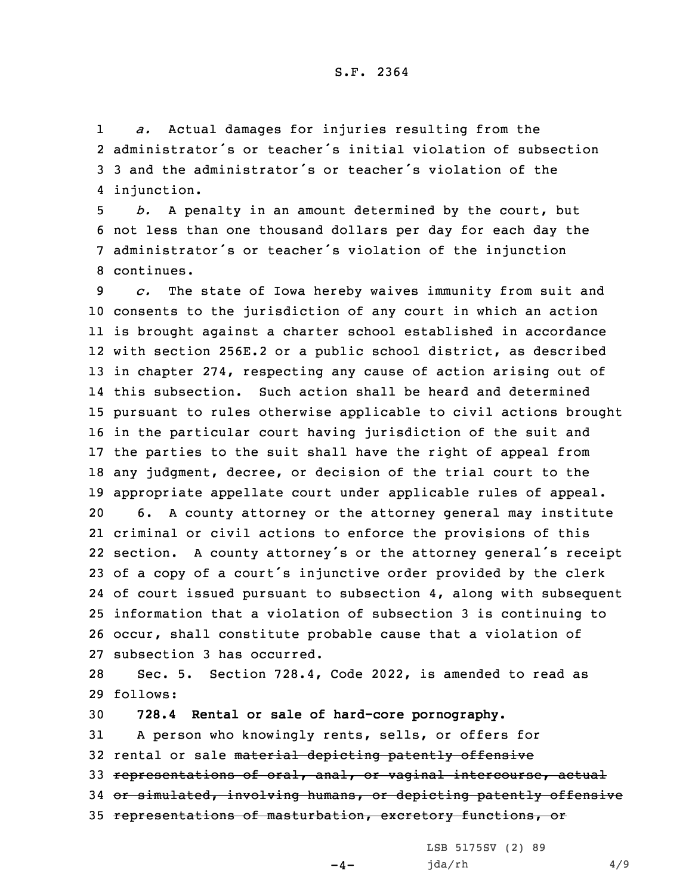1 *a.* Actual damages for injuries resulting from the 2 administrator's or teacher's initial violation of subsection 3 3 and the administrator's or teacher's violation of the 4 injunction.

 *b.* <sup>A</sup> penalty in an amount determined by the court, but not less than one thousand dollars per day for each day the administrator's or teacher's violation of the injunction continues.

 *c.* The state of Iowa hereby waives immunity from suit and consents to the jurisdiction of any court in which an action is brought against <sup>a</sup> charter school established in accordance with section 256E.2 or <sup>a</sup> public school district, as described in chapter 274, respecting any cause of action arising out of this subsection. Such action shall be heard and determined pursuant to rules otherwise applicable to civil actions brought in the particular court having jurisdiction of the suit and the parties to the suit shall have the right of appeal from any judgment, decree, or decision of the trial court to the appropriate appellate court under applicable rules of appeal. 6. <sup>A</sup> county attorney or the attorney general may institute criminal or civil actions to enforce the provisions of this section. <sup>A</sup> county attorney's or the attorney general's receipt of <sup>a</sup> copy of <sup>a</sup> court's injunctive order provided by the clerk of court issued pursuant to subsection 4, along with subsequent information that <sup>a</sup> violation of subsection 3 is continuing to occur, shall constitute probable cause that <sup>a</sup> violation of subsection 3 has occurred.

28 Sec. 5. Section 728.4, Code 2022, is amended to read as 29 follows:

 **728.4 Rental or sale of hard-core pornography.** <sup>A</sup> person who knowingly rents, sells, or offers for 32 rental or sale material depicting patently offensive representations of oral, anal, or vaginal intercourse, actual or simulated, involving humans, or depicting patently offensive representations of masturbation, excretory functions, or

LSB 5175SV (2) 89

 $-4-$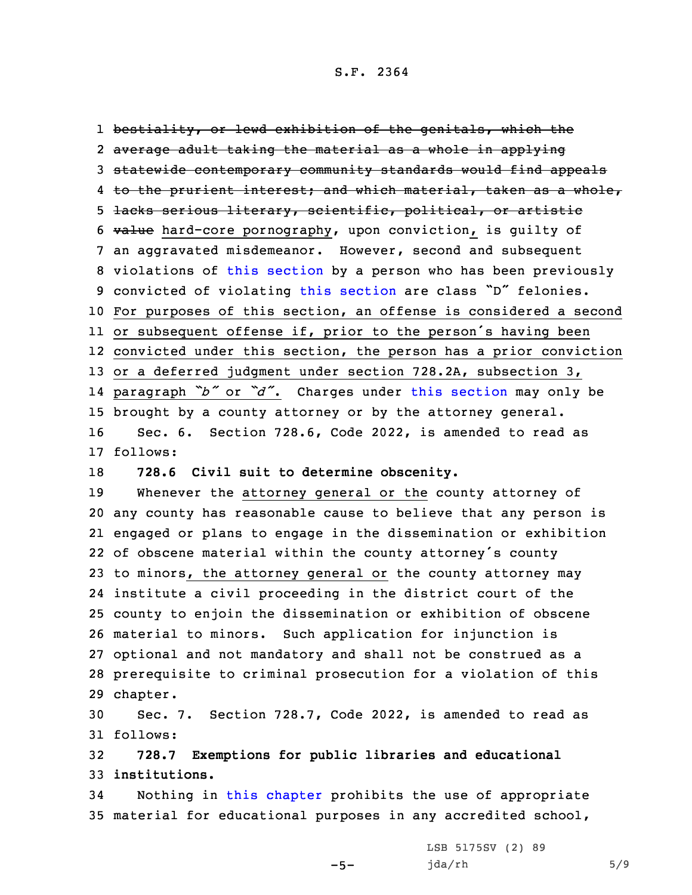bestiality, or lewd exhibition of the genitals, which the average adult taking the material as <sup>a</sup> whole in applying statewide contemporary community standards would find appeals 4 <del>to the prurient interest; and which material, taken as a whole,</del> lacks serious literary, scientific, political, or artistic value hard-core pornography, upon conviction, is guilty of an aggravated misdemeanor. However, second and subsequent violations of this [section](https://www.legis.iowa.gov/docs/code/2022/728.4.pdf) by <sup>a</sup> person who has been previously convicted of violating this [section](https://www.legis.iowa.gov/docs/code/2022/728.4.pdf) are class "D" felonies. For purposes of this section, an offense is considered <sup>a</sup> second or subsequent offense if, prior to the person's having been convicted under this section, the person has <sup>a</sup> prior conviction or <sup>a</sup> deferred judgment under section 728.2A, subsection 3, paragraph *"b"* or *"d"*. Charges under this [section](https://www.legis.iowa.gov/docs/code/2022/728.4.pdf) may only be brought by <sup>a</sup> county attorney or by the attorney general. Sec. 6. Section 728.6, Code 2022, is amended to read as 17 follows: **728.6 Civil suit to determine obscenity.** Whenever the attorney general or the county attorney of any county has reasonable cause to believe that any person is engaged or plans to engage in the dissemination or exhibition of obscene material within the county attorney's county to minors, the attorney general or the county attorney may

 institute <sup>a</sup> civil proceeding in the district court of the county to enjoin the dissemination or exhibition of obscene material to minors. Such application for injunction is optional and not mandatory and shall not be construed as <sup>a</sup> prerequisite to criminal prosecution for <sup>a</sup> violation of this 29 chapter.

30 Sec. 7. Section 728.7, Code 2022, is amended to read as 31 follows:

32 **728.7 Exemptions for public libraries and educational** 33 **institutions.**

34 Nothing in this [chapter](https://www.legis.iowa.gov/docs/code/2022/728.pdf) prohibits the use of appropriate 35 material for educational purposes in any accredited school,

 $-5-$ 

LSB 5175SV (2) 89 jda/rh 5/9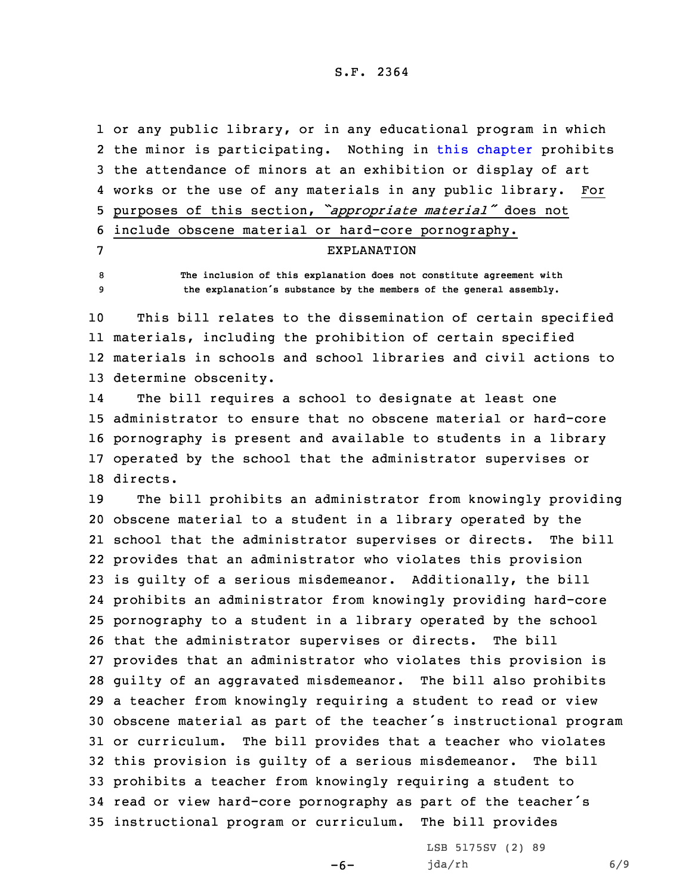S.F. 2364

 or any public library, or in any educational program in which 2 the minor is participating. Nothing in this [chapter](https://www.legis.iowa.gov/docs/code/2022/728.pdf) prohibits the attendance of minors at an exhibition or display of art works or the use of any materials in any public library. For purposes of this section, *"appropriate material"* does not include obscene material or hard-core pornography. EXPLANATION **The inclusion of this explanation does not constitute agreement with**

<sup>9</sup> **the explanation's substance by the members of the general assembly.** 10 This bill relates to the dissemination of certain specified

11 materials, including the prohibition of certain specified 12 materials in schools and school libraries and civil actions to 13 determine obscenity.

14 The bill requires <sup>a</sup> school to designate at least one 15 administrator to ensure that no obscene material or hard-core 16 pornography is present and available to students in <sup>a</sup> library 17 operated by the school that the administrator supervises or 18 directs.

 The bill prohibits an administrator from knowingly providing obscene material to <sup>a</sup> student in <sup>a</sup> library operated by the school that the administrator supervises or directs. The bill provides that an administrator who violates this provision is guilty of <sup>a</sup> serious misdemeanor. Additionally, the bill prohibits an administrator from knowingly providing hard-core pornography to <sup>a</sup> student in <sup>a</sup> library operated by the school that the administrator supervises or directs. The bill provides that an administrator who violates this provision is guilty of an aggravated misdemeanor. The bill also prohibits <sup>a</sup> teacher from knowingly requiring <sup>a</sup> student to read or view obscene material as part of the teacher's instructional program or curriculum. The bill provides that <sup>a</sup> teacher who violates this provision is guilty of <sup>a</sup> serious misdemeanor. The bill prohibits <sup>a</sup> teacher from knowingly requiring <sup>a</sup> student to read or view hard-core pornography as part of the teacher's instructional program or curriculum. The bill provides

 $-6-$ 

LSB 5175SV (2) 89 jda/rh 6/9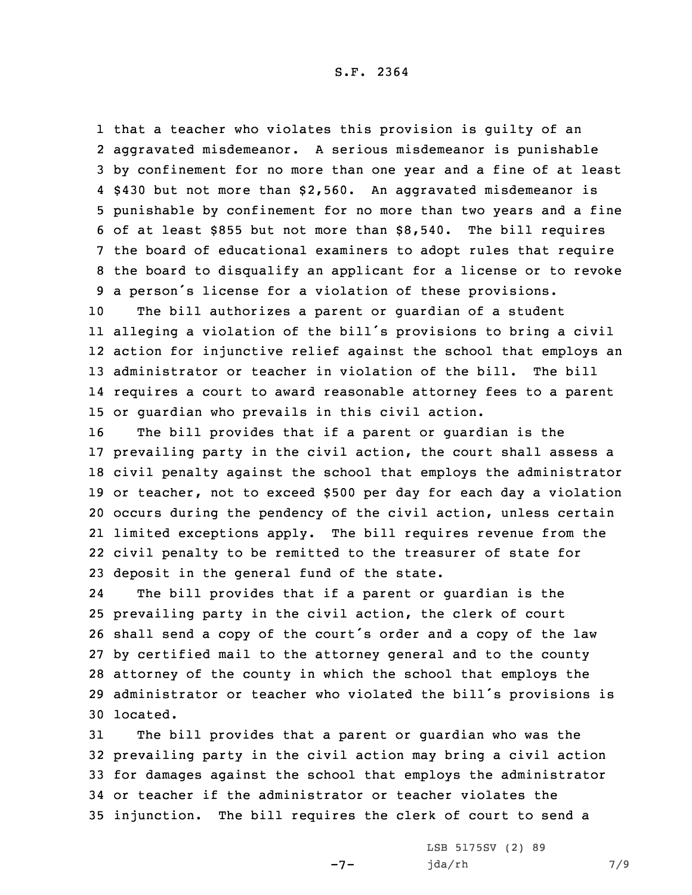that <sup>a</sup> teacher who violates this provision is guilty of an aggravated misdemeanor. <sup>A</sup> serious misdemeanor is punishable by confinement for no more than one year and <sup>a</sup> fine of at least \$430 but not more than \$2,560. An aggravated misdemeanor is punishable by confinement for no more than two years and <sup>a</sup> fine of at least \$855 but not more than \$8,540. The bill requires the board of educational examiners to adopt rules that require the board to disqualify an applicant for <sup>a</sup> license or to revoke <sup>a</sup> person's license for <sup>a</sup> violation of these provisions.

 The bill authorizes <sup>a</sup> parent or guardian of <sup>a</sup> student alleging <sup>a</sup> violation of the bill's provisions to bring <sup>a</sup> civil action for injunctive relief against the school that employs an administrator or teacher in violation of the bill. The bill requires <sup>a</sup> court to award reasonable attorney fees to <sup>a</sup> parent or guardian who prevails in this civil action.

 The bill provides that if <sup>a</sup> parent or guardian is the prevailing party in the civil action, the court shall assess <sup>a</sup> civil penalty against the school that employs the administrator or teacher, not to exceed \$500 per day for each day <sup>a</sup> violation occurs during the pendency of the civil action, unless certain limited exceptions apply. The bill requires revenue from the civil penalty to be remitted to the treasurer of state for deposit in the general fund of the state.

24 The bill provides that if <sup>a</sup> parent or guardian is the prevailing party in the civil action, the clerk of court shall send <sup>a</sup> copy of the court's order and <sup>a</sup> copy of the law by certified mail to the attorney general and to the county attorney of the county in which the school that employs the administrator or teacher who violated the bill's provisions is 30 located.

 The bill provides that <sup>a</sup> parent or guardian who was the prevailing party in the civil action may bring <sup>a</sup> civil action for damages against the school that employs the administrator or teacher if the administrator or teacher violates the injunction. The bill requires the clerk of court to send <sup>a</sup>

 $-7-$ 

LSB 5175SV (2) 89 jda/rh 7/9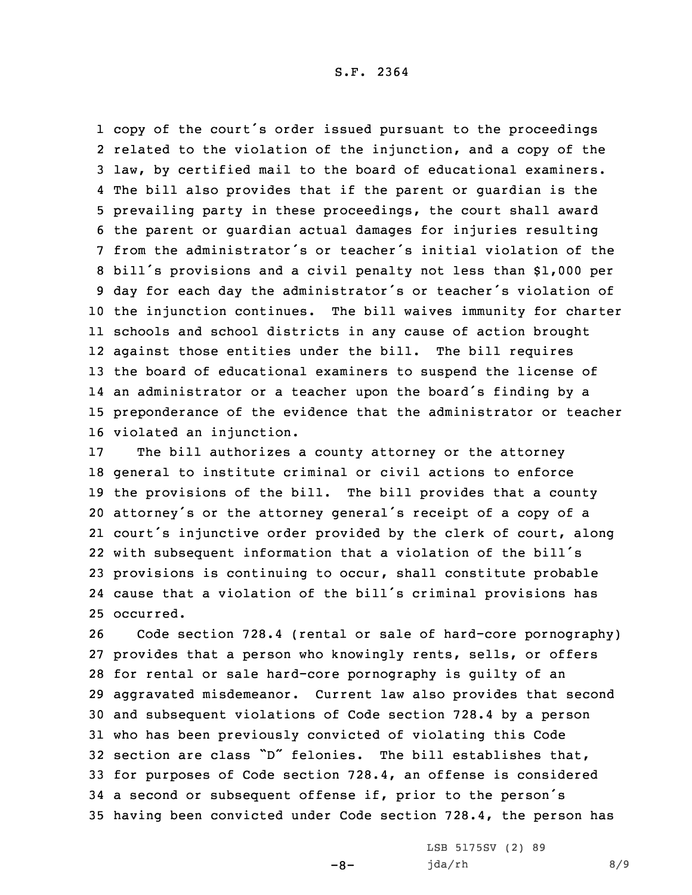## S.F. 2364

 copy of the court's order issued pursuant to the proceedings related to the violation of the injunction, and <sup>a</sup> copy of the law, by certified mail to the board of educational examiners. The bill also provides that if the parent or guardian is the prevailing party in these proceedings, the court shall award the parent or guardian actual damages for injuries resulting from the administrator's or teacher's initial violation of the bill's provisions and <sup>a</sup> civil penalty not less than \$1,000 per day for each day the administrator's or teacher's violation of the injunction continues. The bill waives immunity for charter schools and school districts in any cause of action brought against those entities under the bill. The bill requires the board of educational examiners to suspend the license of an administrator or <sup>a</sup> teacher upon the board's finding by <sup>a</sup> preponderance of the evidence that the administrator or teacher violated an injunction.

 The bill authorizes <sup>a</sup> county attorney or the attorney general to institute criminal or civil actions to enforce the provisions of the bill. The bill provides that <sup>a</sup> county attorney's or the attorney general's receipt of <sup>a</sup> copy of <sup>a</sup> court's injunctive order provided by the clerk of court, along with subsequent information that <sup>a</sup> violation of the bill's provisions is continuing to occur, shall constitute probable cause that <sup>a</sup> violation of the bill's criminal provisions has occurred.

 Code section 728.4 (rental or sale of hard-core pornography) provides that <sup>a</sup> person who knowingly rents, sells, or offers for rental or sale hard-core pornography is guilty of an aggravated misdemeanor. Current law also provides that second and subsequent violations of Code section 728.4 by <sup>a</sup> person who has been previously convicted of violating this Code section are class "D" felonies. The bill establishes that, for purposes of Code section 728.4, an offense is considered <sup>a</sup> second or subsequent offense if, prior to the person's having been convicted under Code section 728.4, the person has

 $-8-$ 

LSB 5175SV (2) 89 jda/rh 8/9